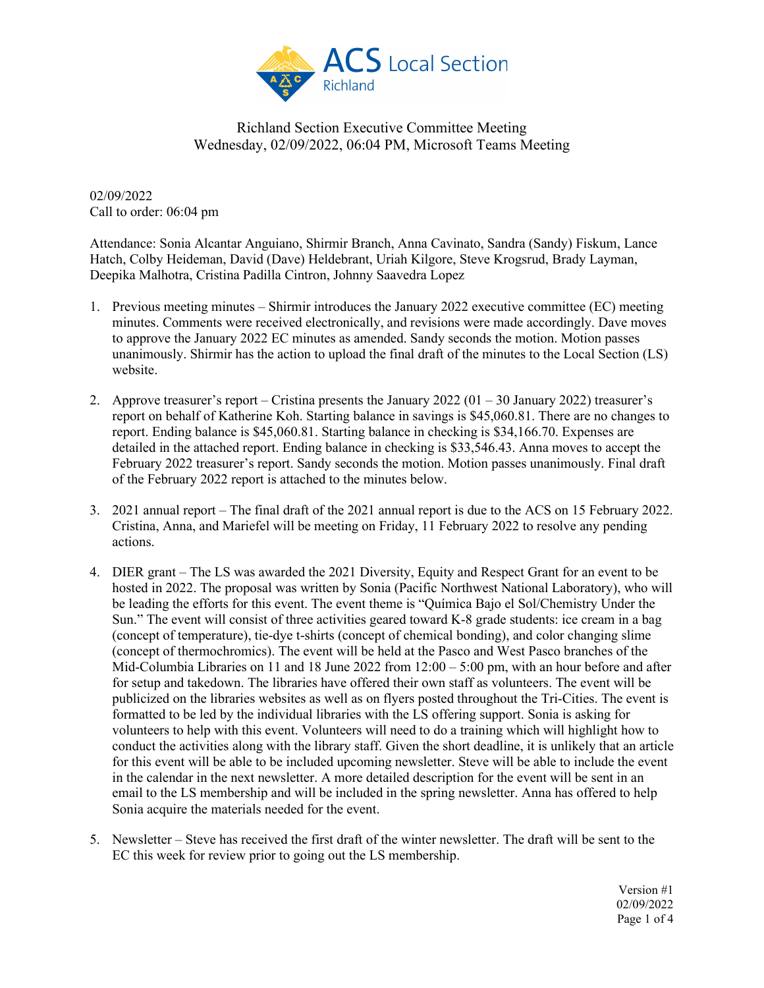

02/09/2022 Call to order: 06:04 pm

Attendance: Sonia Alcantar Anguiano, Shirmir Branch, Anna Cavinato, Sandra (Sandy) Fiskum, Lance Hatch, Colby Heideman, David (Dave) Heldebrant, Uriah Kilgore, Steve Krogsrud, Brady Layman, Deepika Malhotra, Cristina Padilla Cintron, Johnny Saavedra Lopez

- 1. Previous meeting minutes Shirmir introduces the January 2022 executive committee (EC) meeting minutes. Comments were received electronically, and revisions were made accordingly. Dave moves to approve the January 2022 EC minutes as amended. Sandy seconds the motion. Motion passes unanimously. Shirmir has the action to upload the final draft of the minutes to the Local Section (LS) website.
- 2. Approve treasurer's report Cristina presents the January 2022 (01 30 January 2022) treasurer's report on behalf of Katherine Koh. Starting balance in savings is \$45,060.81. There are no changes to report. Ending balance is \$45,060.81. Starting balance in checking is \$34,166.70. Expenses are detailed in the attached report. Ending balance in checking is \$33,546.43. Anna moves to accept the February 2022 treasurer's report. Sandy seconds the motion. Motion passes unanimously. Final draft of the February 2022 report is attached to the minutes below.
- 3. 2021 annual report The final draft of the 2021 annual report is due to the ACS on 15 February 2022. Cristina, Anna, and Mariefel will be meeting on Friday, 11 February 2022 to resolve any pending actions.
- 4. DIER grant The LS was awarded the 2021 Diversity, Equity and Respect Grant for an event to be hosted in 2022. The proposal was written by Sonia (Pacific Northwest National Laboratory), who will be leading the efforts for this event. The event theme is "Química Bajo el Sol/Chemistry Under the Sun." The event will consist of three activities geared toward K-8 grade students: ice cream in a bag (concept of temperature), tie-dye t-shirts (concept of chemical bonding), and color changing slime (concept of thermochromics). The event will be held at the Pasco and West Pasco branches of the Mid-Columbia Libraries on 11 and 18 June 2022 from  $12:00 - 5:00$  pm, with an hour before and after for setup and takedown. The libraries have offered their own staff as volunteers. The event will be publicized on the libraries websites as well as on flyers posted throughout the Tri-Cities. The event is formatted to be led by the individual libraries with the LS offering support. Sonia is asking for volunteers to help with this event. Volunteers will need to do a training which will highlight how to conduct the activities along with the library staff. Given the short deadline, it is unlikely that an article for this event will be able to be included upcoming newsletter. Steve will be able to include the event in the calendar in the next newsletter. A more detailed description for the event will be sent in an email to the LS membership and will be included in the spring newsletter. Anna has offered to help Sonia acquire the materials needed for the event.
- 5. Newsletter Steve has received the first draft of the winter newsletter. The draft will be sent to the EC this week for review prior to going out the LS membership.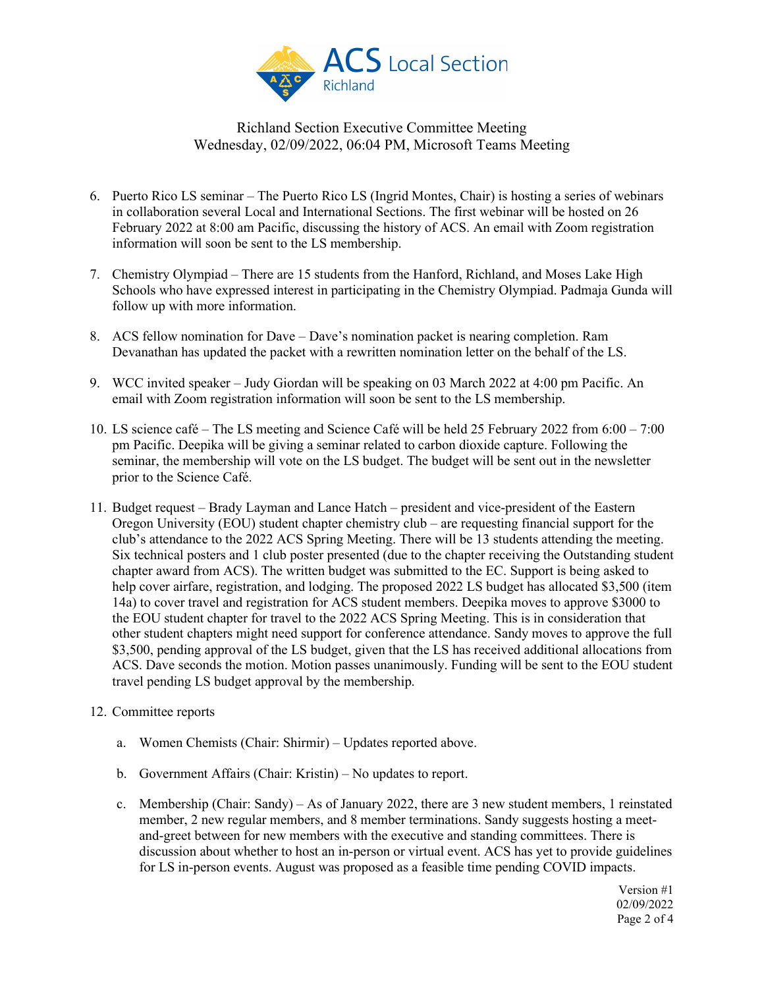

- 6. Puerto Rico LS seminar The Puerto Rico LS (Ingrid Montes, Chair) is hosting a series of webinars in collaboration several Local and International Sections. The first webinar will be hosted on 26 February 2022 at 8:00 am Pacific, discussing the history of ACS. An email with Zoom registration information will soon be sent to the LS membership.
- 7. Chemistry Olympiad There are 15 students from the Hanford, Richland, and Moses Lake High Schools who have expressed interest in participating in the Chemistry Olympiad. Padmaja Gunda will follow up with more information.
- 8. ACS fellow nomination for Dave Dave's nomination packet is nearing completion. Ram Devanathan has updated the packet with a rewritten nomination letter on the behalf of the LS.
- 9. WCC invited speaker Judy Giordan will be speaking on 03 March 2022 at 4:00 pm Pacific. An email with Zoom registration information will soon be sent to the LS membership.
- 10. LS science café The LS meeting and Science Café will be held 25 February 2022 from 6:00 7:00 pm Pacific. Deepika will be giving a seminar related to carbon dioxide capture. Following the seminar, the membership will vote on the LS budget. The budget will be sent out in the newsletter prior to the Science Café.
- 11. Budget request Brady Layman and Lance Hatch president and vice-president of the Eastern Oregon University (EOU) student chapter chemistry club – are requesting financial support for the club's attendance to the 2022 ACS Spring Meeting. There will be 13 students attending the meeting. Six technical posters and 1 club poster presented (due to the chapter receiving the Outstanding student chapter award from ACS). The written budget was submitted to the EC. Support is being asked to help cover airfare, registration, and lodging. The proposed 2022 LS budget has allocated \$3,500 (item 14a) to cover travel and registration for ACS student members. Deepika moves to approve \$3000 to the EOU student chapter for travel to the 2022 ACS Spring Meeting. This is in consideration that other student chapters might need support for conference attendance. Sandy moves to approve the full \$3,500, pending approval of the LS budget, given that the LS has received additional allocations from ACS. Dave seconds the motion. Motion passes unanimously. Funding will be sent to the EOU student travel pending LS budget approval by the membership.
- 12. Committee reports
	- a. Women Chemists (Chair: Shirmir) Updates reported above.
	- b. Government Affairs (Chair: Kristin) No updates to report.
	- c. Membership (Chair: Sandy) As of January 2022, there are 3 new student members, 1 reinstated member, 2 new regular members, and 8 member terminations. Sandy suggests hosting a meetand-greet between for new members with the executive and standing committees. There is discussion about whether to host an in-person or virtual event. ACS has yet to provide guidelines for LS in-person events. August was proposed as a feasible time pending COVID impacts.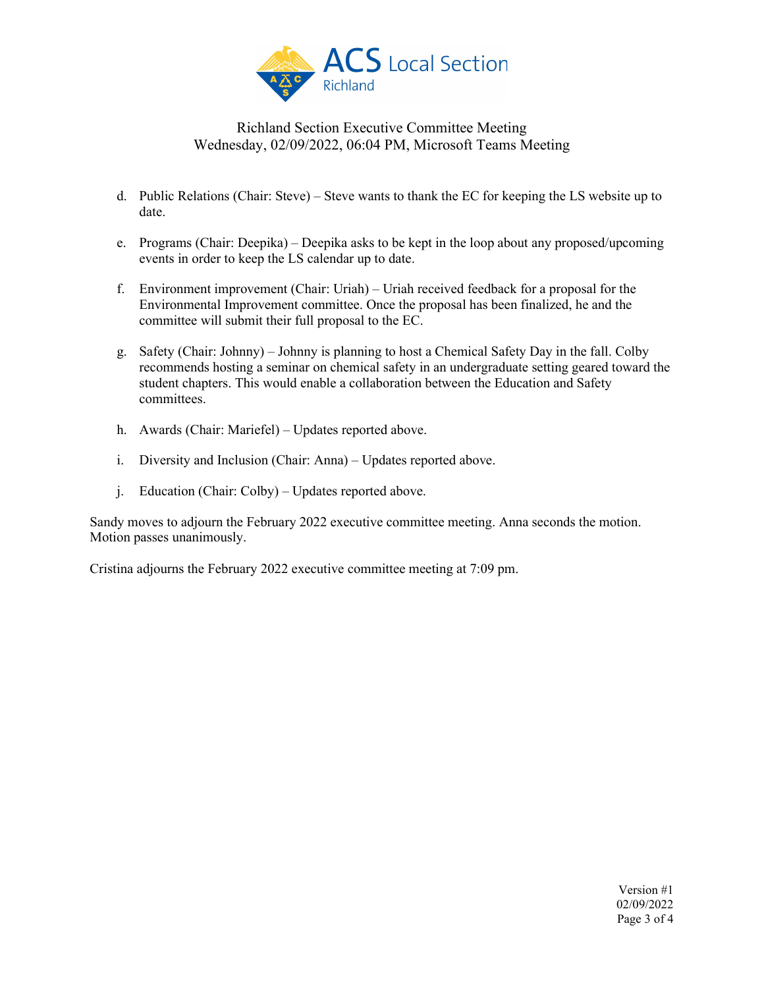

- d. Public Relations (Chair: Steve) Steve wants to thank the EC for keeping the LS website up to date.
- e. Programs (Chair: Deepika) Deepika asks to be kept in the loop about any proposed/upcoming events in order to keep the LS calendar up to date.
- f. Environment improvement (Chair: Uriah) Uriah received feedback for a proposal for the Environmental Improvement committee. Once the proposal has been finalized, he and the committee will submit their full proposal to the EC.
- g. Safety (Chair: Johnny) Johnny is planning to host a Chemical Safety Day in the fall. Colby recommends hosting a seminar on chemical safety in an undergraduate setting geared toward the student chapters. This would enable a collaboration between the Education and Safety committees.
- h. Awards (Chair: Mariefel) Updates reported above.
- i. Diversity and Inclusion (Chair: Anna) Updates reported above.
- j. Education (Chair: Colby) Updates reported above.

Sandy moves to adjourn the February 2022 executive committee meeting. Anna seconds the motion. Motion passes unanimously.

Cristina adjourns the February 2022 executive committee meeting at 7:09 pm.

Version #1 02/09/2022 Page 3 of 4